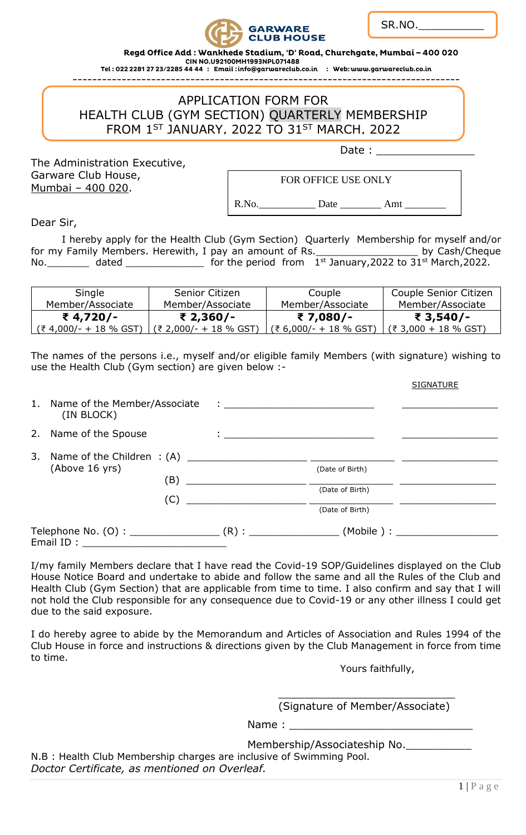

SR.NO.\_\_\_\_\_\_\_\_\_\_

Regd Office Add : Wankhede Stadium, 'D' Road, Churchgate, Mumbai - 400 020

CIN NO.U92100MH1993NPL071488<br>CIN NO.U92100MH1993NPL071488<br>Tel : 022 2281 27 23/2285 44 44 : Email : info@garwareclub.co.in : Web: www.garwareclub.co.in

APPLICATION FORM FOR HEALTH CLUB (GYM SECTION) QUARTERLY MEMBERSHIP FROM 1<sup>ST</sup> JANUARY, 2022 TO 31<sup>ST</sup> MARCH, 2022

The Administration Executive, Garware Club House, Mumbai – 400 020.

Date :

FOR OFFICE USE ONLY

R.No.\_\_\_\_\_\_\_\_\_\_\_ Date \_\_\_\_\_\_\_\_ Amt \_\_\_\_\_\_\_\_

Dear Sir,

I hereby apply for the Health Club (Gym Section) Quarterly Membership for myself and/or<br>Family Members. Herewith, I pay an amount of Rs. \_\_\_\_\_\_\_\_\_\_\_\_\_\_\_\_\_\_\_\_\_\_\_by Cash/Cheque for my Family Members. Herewith, I pay an amount of Rs. No.  $\frac{1}{2}$  dated  $\frac{1}{2}$  and  $\frac{1}{2}$  for the period from  $1^{st}$  January, 2022 to 31st March, 2022.

| Single                     | Senior Citizen        | Couple                   | Couple Senior Citizen |
|----------------------------|-----------------------|--------------------------|-----------------------|
| Member/Associate           | Member/Associate      | Member/Associate         | Member/Associate      |
| ₹4,720/-                   | ₹ 2,360/-             | ₹7,080/-                 | ₹ 3,540/-             |
| $(3, 4, 000/- + 18\%$ GST) | $(3.000/- + 18\%$ GST | $(3.6,000/- + 18\%$ GST) | $(3,000 + 18\%$ GST)  |

The names of the persons i.e., myself and/or eligible family Members (with signature) wishing to use the Health Club (Gym section) are given below :-

|           |                                               |                                                                                                                      |                                                                                                                                                                                                                                      | <b>SIGNATURE</b> |
|-----------|-----------------------------------------------|----------------------------------------------------------------------------------------------------------------------|--------------------------------------------------------------------------------------------------------------------------------------------------------------------------------------------------------------------------------------|------------------|
|           | 1. Name of the Member/Associate<br>(IN BLOCK) |                                                                                                                      | <u> 1980 - Jan Stein Stein Stein Stein Stein Stein Stein Stein Stein Stein Stein Stein Stein Stein Stein Stein Stein Stein Stein Stein Stein Stein Stein Stein Stein Stein Stein Stein Stein Stein Stein Stein Stein Stein Stein</u> |                  |
|           |                                               |                                                                                                                      |                                                                                                                                                                                                                                      |                  |
|           | 2. Name of the Spouse                         |                                                                                                                      |                                                                                                                                                                                                                                      |                  |
|           | (Above 16 yrs)<br>(B)<br>(C)                  |                                                                                                                      |                                                                                                                                                                                                                                      |                  |
|           |                                               |                                                                                                                      | (Date of Birth)                                                                                                                                                                                                                      |                  |
|           |                                               | <u> 1980 - Jan Barbara Barbara, prima popular popular popular popular popular popular popular popular popular po</u> |                                                                                                                                                                                                                                      |                  |
|           |                                               |                                                                                                                      | (Date of Birth)                                                                                                                                                                                                                      |                  |
|           |                                               |                                                                                                                      | (Date of Birth)                                                                                                                                                                                                                      |                  |
| Email ID: |                                               |                                                                                                                      |                                                                                                                                                                                                                                      |                  |
|           |                                               |                                                                                                                      |                                                                                                                                                                                                                                      |                  |

I/my family Members declare that I have read the Covid-19 SOP/Guidelines displayed on the Club House Notice Board and undertake to abide and follow the same and all the Rules of the Club and Health Club (Gym Section) that are applicable from time to time. I also confirm and say that I will not hold the Club responsible for any consequence due to Covid-19 or any other illness I could get due to the said exposure.

I do hereby agree to abide by the Memorandum and Articles of Association and Rules 1994 of the Club House in force and instructions & directions given by the Club Management in force from time to time.

Yours faithfully,

\_\_\_\_\_\_\_\_\_\_\_\_\_\_\_\_\_\_\_\_\_\_\_\_\_\_\_ (Signature of Member/Associate)

Name :

Membership/Associateship No.

N.B : Health Club Membership charges are inclusive of Swimming Pool. *Doctor Certificate, as mentioned on Overleaf.*